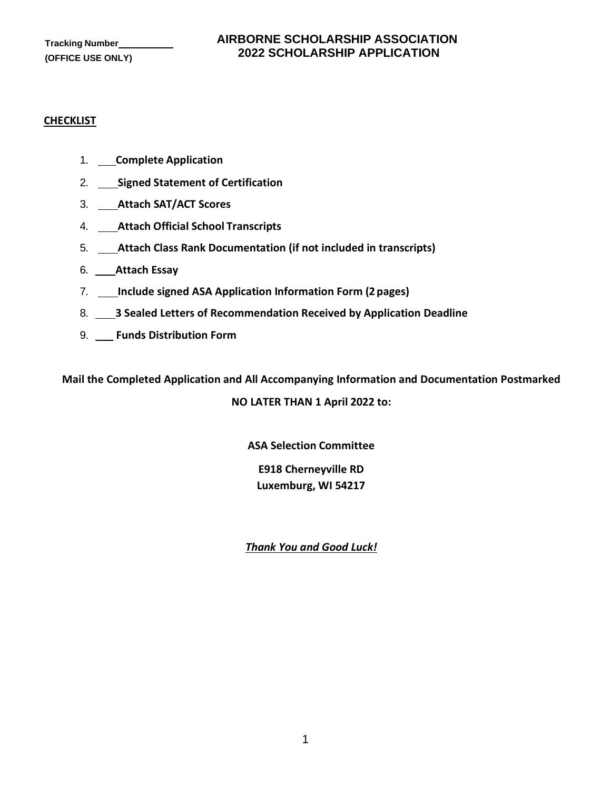#### **CHECKLIST**

- 1. **Complete Application**
- 2. **Signed Statement of Certification**
- 3. **Attach SAT/ACT Scores**
- 4. **Attach Official School Transcripts**
- 5. **Attach Class Rank Documentation (if not included in transcripts)**
- 6. **Attach Essay**
- 7. **Include signed ASA Application Information Form (2 pages)**
- 8. **3 Sealed Letters of Recommendation Received by Application Deadline**
- 9. **\_\_\_ Funds Distribution Form**

**Mail the Completed Application and All Accompanying Information and Documentation Postmarked** 

**NO LATER THAN 1 April 2022 to:**

**ASA Selection Committee** 

**E918 Cherneyville RD Luxemburg, WI 54217**

*Thank You and Good Luck!*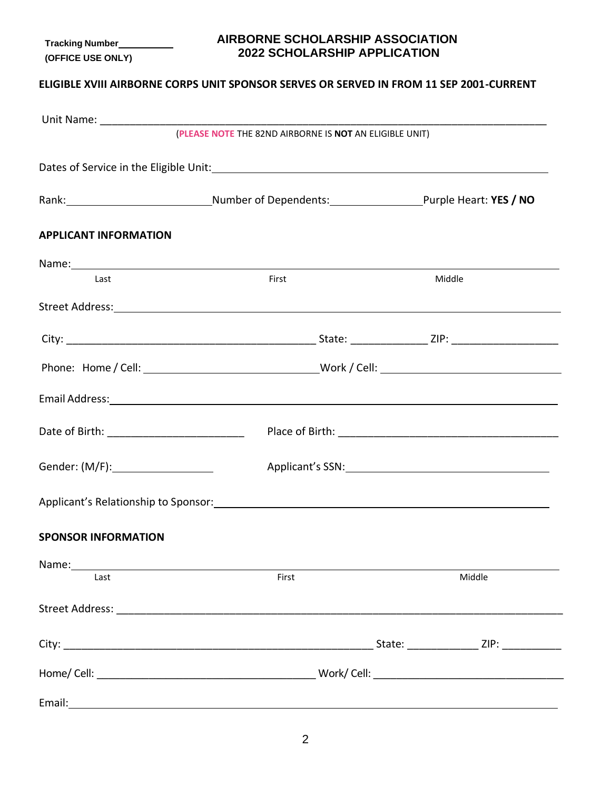# **AIRBORNE SCHOLARSHIP ASSOCIATION 2022 SCHOLARSHIP APPLICATION**

# **ELIGIBLE XVIII AIRBORNE CORPS UNIT SPONSOR SERVES OR SERVED IN FROM 11 SEP 2001-CURRENT**

|                                      | (PLEASE NOTE THE 82ND AIRBORNE IS NOT AN ELIGIBLE UNIT)                                                                                                                                                                        |                                                                                                                                                                                                                                |
|--------------------------------------|--------------------------------------------------------------------------------------------------------------------------------------------------------------------------------------------------------------------------------|--------------------------------------------------------------------------------------------------------------------------------------------------------------------------------------------------------------------------------|
|                                      |                                                                                                                                                                                                                                |                                                                                                                                                                                                                                |
|                                      | Rank: Purple Heart: YES / NO                                                                                                                                                                                                   |                                                                                                                                                                                                                                |
| <b>APPLICANT INFORMATION</b>         |                                                                                                                                                                                                                                |                                                                                                                                                                                                                                |
|                                      |                                                                                                                                                                                                                                |                                                                                                                                                                                                                                |
| Last                                 | First                                                                                                                                                                                                                          | Middle                                                                                                                                                                                                                         |
|                                      | Street Address: No. 2014 19:30:00 12:30:00 12:30:00 12:30:00 12:30:00 12:30:00 12:30:00 12:30:00 12:30:00 12:30:00 12:30:00 12:30:00 12:30:00 12:30:00 12:30:00 12:30:00 12:30:00 12:30:00 12:30:00 12:30:00 12:30:00 12:30:00 |                                                                                                                                                                                                                                |
|                                      |                                                                                                                                                                                                                                |                                                                                                                                                                                                                                |
|                                      |                                                                                                                                                                                                                                |                                                                                                                                                                                                                                |
|                                      |                                                                                                                                                                                                                                |                                                                                                                                                                                                                                |
|                                      |                                                                                                                                                                                                                                |                                                                                                                                                                                                                                |
| Gender: (M/F): _____________________ |                                                                                                                                                                                                                                | Applicant's SSN: New York Contract Contract Contract Contract Contract Contract Contract Contract Contract Contract Contract Contract Contract Contract Contract Contract Contract Contract Contract Contract Contract Contrac |
|                                      |                                                                                                                                                                                                                                |                                                                                                                                                                                                                                |
| <b>SPONSOR INFORMATION</b>           |                                                                                                                                                                                                                                |                                                                                                                                                                                                                                |
| Last                                 | First                                                                                                                                                                                                                          | Middle                                                                                                                                                                                                                         |
|                                      |                                                                                                                                                                                                                                |                                                                                                                                                                                                                                |
|                                      |                                                                                                                                                                                                                                | State: _________________ ZIP: _____________                                                                                                                                                                                    |
|                                      |                                                                                                                                                                                                                                |                                                                                                                                                                                                                                |
|                                      |                                                                                                                                                                                                                                |                                                                                                                                                                                                                                |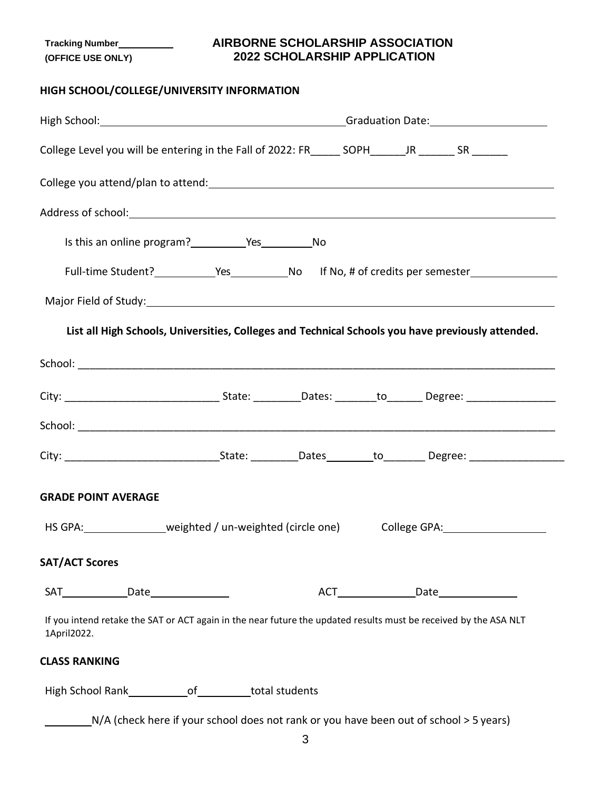## **AIRBORNE SCHOLARSHIP ASSOCIATION 2022 SCHOLARSHIP APPLICATION**

# **HIGH SCHOOL/COLLEGE/UNIVERSITY INFORMATION**

| College Level you will be entering in the Fall of 2022: FR______ SOPH______JR _______ SR _______                                                                                                                              |                                                                                                   |  |  |                           |
|-------------------------------------------------------------------------------------------------------------------------------------------------------------------------------------------------------------------------------|---------------------------------------------------------------------------------------------------|--|--|---------------------------|
|                                                                                                                                                                                                                               |                                                                                                   |  |  |                           |
|                                                                                                                                                                                                                               |                                                                                                   |  |  |                           |
|                                                                                                                                                                                                                               |                                                                                                   |  |  |                           |
|                                                                                                                                                                                                                               |                                                                                                   |  |  |                           |
|                                                                                                                                                                                                                               |                                                                                                   |  |  |                           |
|                                                                                                                                                                                                                               | List all High Schools, Universities, Colleges and Technical Schools you have previously attended. |  |  |                           |
|                                                                                                                                                                                                                               |                                                                                                   |  |  |                           |
| City: ___________________________________State: __________Dates: ________to________Degree: ___________________                                                                                                                |                                                                                                   |  |  |                           |
|                                                                                                                                                                                                                               |                                                                                                   |  |  |                           |
|                                                                                                                                                                                                                               |                                                                                                   |  |  |                           |
| <b>GRADE POINT AVERAGE</b>                                                                                                                                                                                                    |                                                                                                   |  |  |                           |
| HS GPA: veighted / un-weighted (circle one)                                                                                                                                                                                   |                                                                                                   |  |  | College GPA: College GPA: |
| <b>SAT/ACT Scores</b>                                                                                                                                                                                                         |                                                                                                   |  |  |                           |
| SAT Entirely bate state state state state state state state state state state state state state state state state state state state state state state state state state state state state state state state state state state |                                                                                                   |  |  |                           |
| If you intend retake the SAT or ACT again in the near future the updated results must be received by the ASA NLT<br>1April2022.                                                                                               |                                                                                                   |  |  |                           |
| <b>CLASS RANKING</b>                                                                                                                                                                                                          |                                                                                                   |  |  |                           |
| High School Rank_________________of___________total students                                                                                                                                                                  |                                                                                                   |  |  |                           |
|                                                                                                                                                                                                                               | N/A (check here if your school does not rank or you have been out of school > 5 years)            |  |  |                           |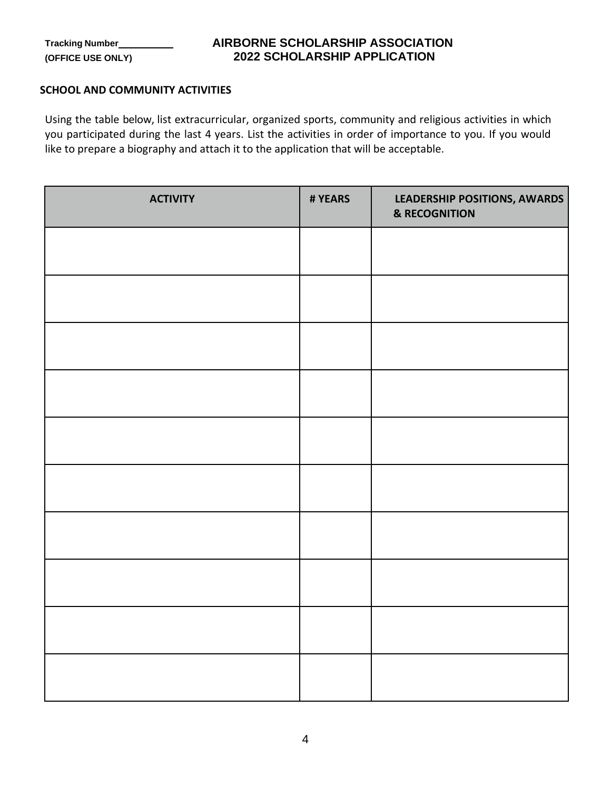## **AIRBORNE SCHOLARSHIP ASSOCIATION 2022 SCHOLARSHIP APPLICATION**

### **SCHOOL AND COMMUNITY ACTIVITIES**

Using the table below, list extracurricular, organized sports, community and religious activities in which you participated during the last 4 years. List the activities in order of importance to you. If you would like to prepare a biography and attach it to the application that will be acceptable.

| <b>ACTIVITY</b> | # YEARS | LEADERSHIP POSITIONS, AWARDS<br><b>&amp; RECOGNITION</b> |
|-----------------|---------|----------------------------------------------------------|
|                 |         |                                                          |
|                 |         |                                                          |
|                 |         |                                                          |
|                 |         |                                                          |
|                 |         |                                                          |
|                 |         |                                                          |
|                 |         |                                                          |
|                 |         |                                                          |
|                 |         |                                                          |
|                 |         |                                                          |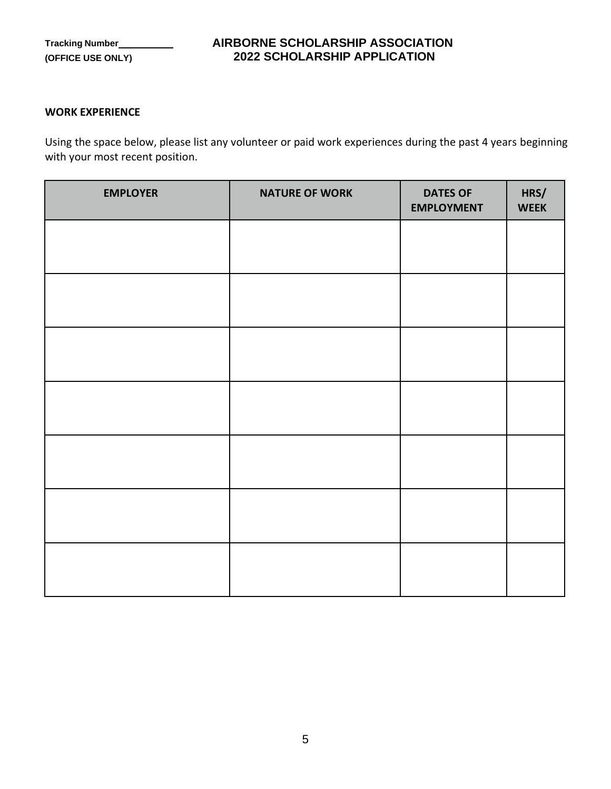## **AIRBORNE SCHOLARSHIP ASSOCIATION 2022 SCHOLARSHIP APPLICATION**

#### **WORK EXPERIENCE**

Using the space below, please list any volunteer or paid work experiences during the past 4 years beginning with your most recent position.

| <b>EMPLOYER</b> | <b>NATURE OF WORK</b> | <b>DATES OF</b><br><b>EMPLOYMENT</b> | HRS/<br><b>WEEK</b> |
|-----------------|-----------------------|--------------------------------------|---------------------|
|                 |                       |                                      |                     |
|                 |                       |                                      |                     |
|                 |                       |                                      |                     |
|                 |                       |                                      |                     |
|                 |                       |                                      |                     |
|                 |                       |                                      |                     |
|                 |                       |                                      |                     |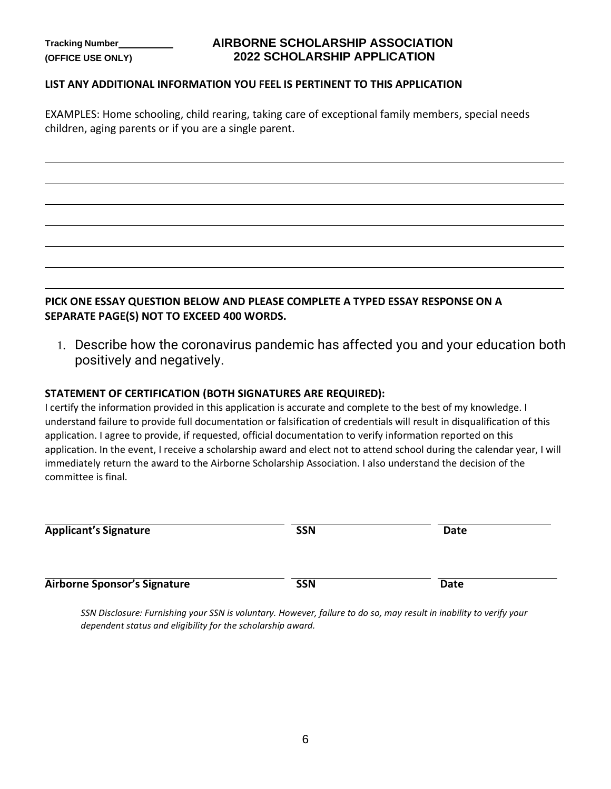## **AIRBORNE SCHOLARSHIP ASSOCIATION 2022 SCHOLARSHIP APPLICATION**

#### **LIST ANY ADDITIONAL INFORMATION YOU FEEL IS PERTINENT TO THIS APPLICATION**

EXAMPLES: Home schooling, child rearing, taking care of exceptional family members, special needs children, aging parents or if you are a single parent.

## **PICK ONE ESSAY QUESTION BELOW AND PLEASE COMPLETE A TYPED ESSAY RESPONSE ON A SEPARATE PAGE(S) NOT TO EXCEED 400 WORDS.**

1. Describe how the coronavirus pandemic has affected you and your education both positively and negatively.

#### **STATEMENT OF CERTIFICATION (BOTH SIGNATURES ARE REQUIRED):**

I certify the information provided in this application is accurate and complete to the best of my knowledge. I understand failure to provide full documentation or falsification of credentials will result in disqualification of this application. I agree to provide, if requested, official documentation to verify information reported on this application. In the event, I receive a scholarship award and elect not to attend school during the calendar year, I will immediately return the award to the Airborne Scholarship Association. I also understand the decision of the committee is final.

| <b>Applicant's Signature</b>        | <b>SSN</b> | Date |  |
|-------------------------------------|------------|------|--|
| <b>Airborne Sponsor's Signature</b> | <b>SSN</b> | Date |  |

*SSN Disclosure: Furnishing your SSN is voluntary. However, failure to do so, may result in inability to verify your dependent status and eligibility for the scholarship award.*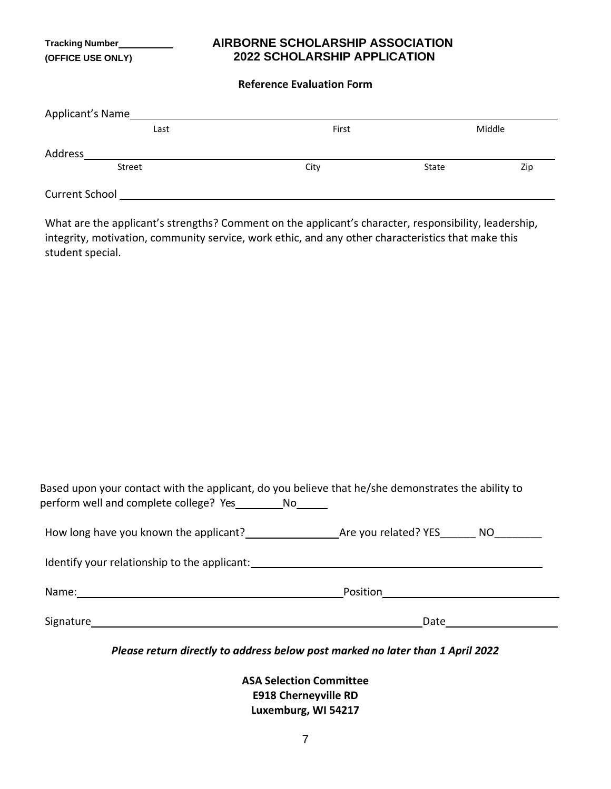## **AIRBORNE SCHOLARSHIP ASSOCIATION 2022 SCHOLARSHIP APPLICATION**

#### **Reference Evaluation Form**

| Applicant's Name      |       |       |        |
|-----------------------|-------|-------|--------|
| Last                  | First |       | Middle |
| Address               |       |       |        |
| <b>Street</b>         | City  | State | Zip    |
| <b>Current School</b> |       |       |        |

What are the applicant's strengths? Comment on the applicant's character, responsibility, leadership, integrity, motivation, community service, work ethic, and any other characteristics that make this student special.

|                                        | Based upon your contact with the applicant, do you believe that he/she demonstrates the ability to |
|----------------------------------------|----------------------------------------------------------------------------------------------------|
| perform well and complete college? Yes |                                                                                                    |

| How long have you known the applicant? | Are you related? YES | NΟ |
|----------------------------------------|----------------------|----|
|                                        |                      |    |

Identify your relationship to the applicant: Manual Alexander Annual Alexander Alexander Alexander Alexander A Name: Position

Signature Date

*Please return directly to address below post marked no later than 1 April 2022*

**ASA Selection Committee E918 Cherneyville RD Luxemburg, WI 54217**